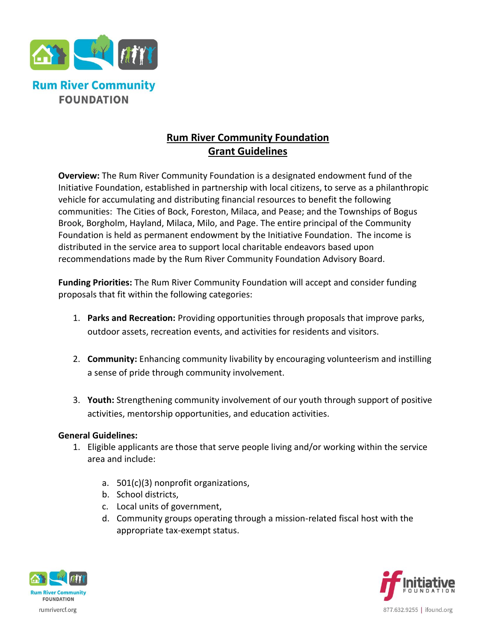

## **Rum River Community Foundation Grant Guidelines**

**Overview:** The Rum River Community Foundation is a designated endowment fund of the Initiative Foundation, established in partnership with local citizens, to serve as a philanthropic vehicle for accumulating and distributing financial resources to benefit the following communities: The Cities of Bock, Foreston, Milaca, and Pease; and the Townships of Bogus Brook, Borgholm, Hayland, Milaca, Milo, and Page. The entire principal of the Community Foundation is held as permanent endowment by the Initiative Foundation. The income is distributed in the service area to support local charitable endeavors based upon recommendations made by the Rum River Community Foundation Advisory Board.

**Funding Priorities:** The Rum River Community Foundation will accept and consider funding proposals that fit within the following categories:

- 1. **Parks and Recreation:** Providing opportunities through proposals that improve parks, outdoor assets, recreation events, and activities for residents and visitors.
- 2. **Community:** Enhancing community livability by encouraging volunteerism and instilling a sense of pride through community involvement.
- 3. **Youth:** Strengthening community involvement of our youth through support of positive activities, mentorship opportunities, and education activities.

## **General Guidelines:**

- 1. Eligible applicants are those that serve people living and/or working within the service area and include:
	- a. 501(c)(3) nonprofit organizations,
	- b. School districts,
	- c. Local units of government,
	- d. Community groups operating through a mission-related fiscal host with the appropriate tax-exempt status.



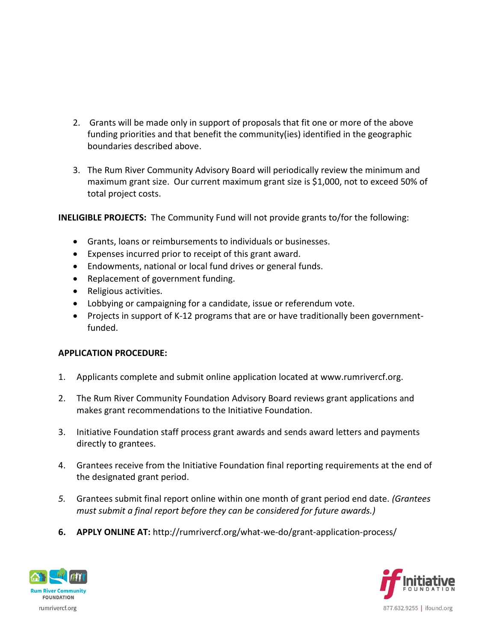- 2. Grants will be made only in support of proposals that fit one or more of the above funding priorities and that benefit the community(ies) identified in the geographic boundaries described above.
- 3. The Rum River Community Advisory Board will periodically review the minimum and maximum grant size. Our current maximum grant size is \$1,000, not to exceed 50% of total project costs.

**INELIGIBLE PROJECTS:** The Community Fund will not provide grants to/for the following:

- Grants, loans or reimbursements to individuals or businesses.
- Expenses incurred prior to receipt of this grant award.
- Endowments, national or local fund drives or general funds.
- Replacement of government funding.
- Religious activities.
- Lobbying or campaigning for a candidate, issue or referendum vote.
- Projects in support of K-12 programs that are or have traditionally been governmentfunded.

## **APPLICATION PROCEDURE:**

- 1. Applicants complete and submit online application located at www.rumrivercf.org.
- 2. The Rum River Community Foundation Advisory Board reviews grant applications and makes grant recommendations to the Initiative Foundation.
- 3. Initiative Foundation staff process grant awards and sends award letters and payments directly to grantees.
- 4. Grantees receive from the Initiative Foundation final reporting requirements at the end of the designated grant period.
- *5.* Grantees submit final report online within one month of grant period end date. *(Grantees must submit a final report before they can be considered for future awards.)*
- **6. APPLY ONLINE AT:** http://rumrivercf.org/what-we-do/grant-application-process/